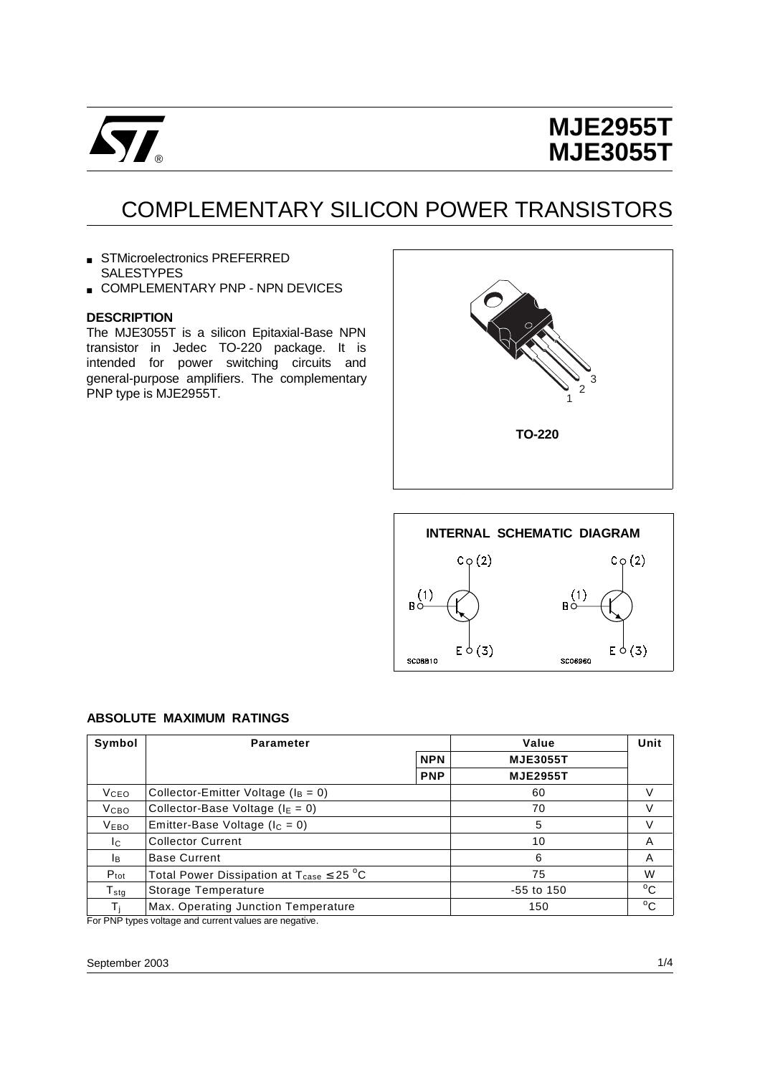

# **MJE2955T MJE3055T**

# COMPLEMENTARY SILICON POWER TRANSISTORS

- STMicroelectronics PREFERRED SALESTYPES
- **E COMPLEMENTARY PNP NPN DEVICES**

### **DESCRIPTION**

The MJE3055T is a silicon Epitaxial-Base NPN transistor in Jedec TO-220 package. It is intended for power switching circuits and general-purpose amplifiers. The complementary PNP type is MJE2955T.





#### **ABSOLUTE MAXIMUM RATINGS**

| Symbol              | <b>Parameter</b>                                                |            | Value           | Unit         |
|---------------------|-----------------------------------------------------------------|------------|-----------------|--------------|
|                     |                                                                 | <b>NPN</b> | <b>MJE3055T</b> |              |
|                     |                                                                 | <b>PNP</b> | <b>MJE2955T</b> |              |
| <b>V</b> ceo        | Collector-Emitter Voltage ( $I_B = 0$ )                         |            | 60              | V            |
| <b>V</b> сво        | Collector-Base Voltage ( $I_E = 0$ )                            |            | 70              | V            |
| <b>VEBO</b>         | Emitter-Base Voltage ( $I_C = 0$ )                              |            | 5               | V            |
| Ic.                 | <b>Collector Current</b>                                        |            | 10              | Α            |
| IB.                 | <b>Base Current</b>                                             |            | 6               | Α            |
| $P_{\text{tot}}$    | Total Power Dissipation at $T_{\text{case}} \leq 25 \text{ °C}$ |            | 75              | W            |
| ${\sf T}_{\sf stg}$ | Storage Temperature                                             |            | $-55$ to $150$  | °C           |
|                     | Max. Operating Junction Temperature                             |            | 150             | $^{\circ}$ C |

For PNP types voltage and current values are negative.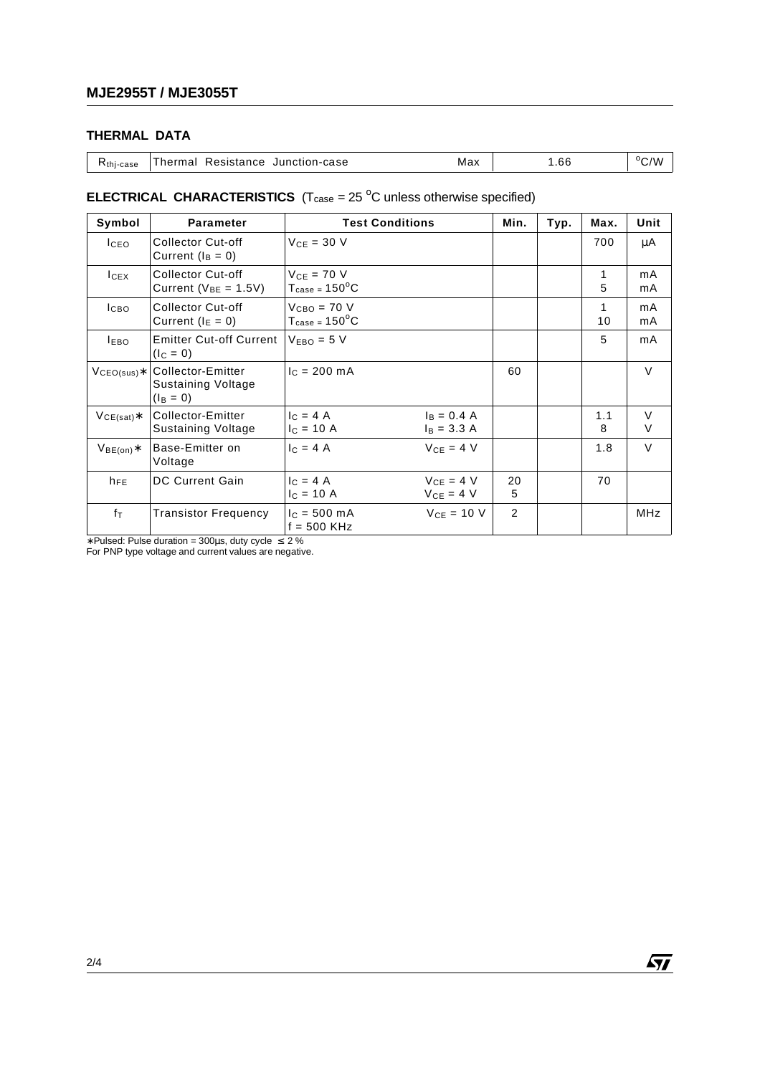## **THERMAL DATA**

| $Rthi - case$ | Thermal Resistance Junction-case |  | Max | .66 | $\rm ^{o}C/W$ |
|---------------|----------------------------------|--|-----|-----|---------------|
|---------------|----------------------------------|--|-----|-----|---------------|

### **ELECTRICAL CHARACTERISTICS**  $(T_{\text{case}} = 25 \text{ °C}$  unless otherwise specified)

| Symbol                  | <b>Parameter</b>                                              | <b>Test Conditions</b>                                       |                                | Min.    | Typ. | Max.     | Unit        |
|-------------------------|---------------------------------------------------------------|--------------------------------------------------------------|--------------------------------|---------|------|----------|-------------|
| I <sub>CEO</sub>        | <b>Collector Cut-off</b><br>Current $(I_B = 0)$               | $V_{CF}$ = 30 V                                              |                                |         |      | 700      | μA          |
| $I_{CEX}$               | <b>Collector Cut-off</b><br>Current ( $V_{BE}$ = 1.5V)        | $V_{CF} = 70 V$<br>$T_{\text{case}} = 150^{\circ}$ C         |                                |         |      | 1<br>5   | mA<br>mA    |
| I <sub>CBO</sub>        | Collector Cut-off<br>Current ( $I_E = 0$ )                    | $V_{\text{CBO}} = 70 V$<br>$T_{\text{case}} = 150^{\circ}$ C |                                |         |      | 1<br>10  | mA<br>mA    |
| <b>LEBO</b>             | <b>Emitter Cut-off Current</b><br>$(I_C = 0)$                 | $VEBO = 5 V$                                                 |                                |         |      | 5        | mA          |
| $V_{\text{CEO(sus)}}$ * | Collector-Emitter<br><b>Sustaining Voltage</b><br>$(I_B = 0)$ | $IC = 200 mA$                                                |                                | 60      |      |          | $\vee$      |
| $VCE(sat)*$             | Collector-Emitter<br><b>Sustaining Voltage</b>                | $I_C = 4 A$<br>$I_C = 10 A$                                  | $I_B = 0.4 A$<br>$I_B = 3.3 A$ |         |      | 1.1<br>8 | $\vee$<br>V |
| $V_{BE(on)}$ *          | Base-Emitter on<br>Voltage                                    | $c = 4A$                                                     | $V_{CE} = 4 V$                 |         |      | 1.8      | $\vee$      |
| $h_{FE}$                | <b>DC Current Gain</b>                                        | $c = 4A$<br>$V_{CE} = 4 V$<br>$I_C = 10 A$                   | $V_{CE} = 4 V$                 | 20<br>5 |      | 70       |             |
| $f_{\text{T}}$          | <b>Transistor Frequency</b>                                   | $I_c = 500 \text{ mA}$<br>$f = 500$ KHz                      | $V_{CF} = 10 V$                | 2       |      |          | <b>MHz</b>  |

∗ Pulsed: Pulse duration = 300µs, duty cycle ≤ 2 % For PNP type voltage and current values are negative.

 $\sqrt{M}$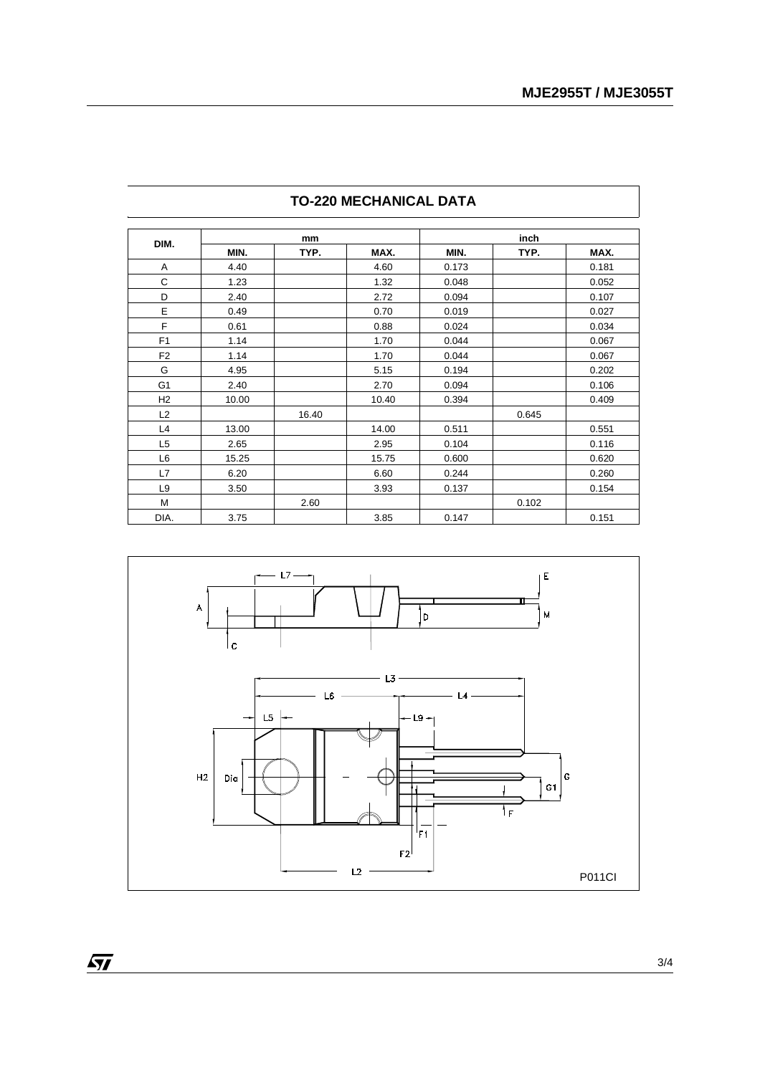|                | mm    |       |       | inch  |       |       |  |
|----------------|-------|-------|-------|-------|-------|-------|--|
| DIM.           | MIN.  | TYP.  | MAX.  | MIN.  | TYP.  | MAX.  |  |
| Α              | 4.40  |       | 4.60  | 0.173 |       | 0.181 |  |
| С              | 1.23  |       | 1.32  | 0.048 |       | 0.052 |  |
| D              | 2.40  |       | 2.72  | 0.094 |       | 0.107 |  |
| E              | 0.49  |       | 0.70  | 0.019 |       | 0.027 |  |
| F              | 0.61  |       | 0.88  | 0.024 |       | 0.034 |  |
| F <sub>1</sub> | 1.14  |       | 1.70  | 0.044 |       | 0.067 |  |
| F <sub>2</sub> | 1.14  |       | 1.70  | 0.044 |       | 0.067 |  |
| G              | 4.95  |       | 5.15  | 0.194 |       | 0.202 |  |
| G <sub>1</sub> | 2.40  |       | 2.70  | 0.094 |       | 0.106 |  |
| H2             | 10.00 |       | 10.40 | 0.394 |       | 0.409 |  |
| L2             |       | 16.40 |       |       | 0.645 |       |  |
| L4             | 13.00 |       | 14.00 | 0.511 |       | 0.551 |  |
| L <sub>5</sub> | 2.65  |       | 2.95  | 0.104 |       | 0.116 |  |
| L <sub>6</sub> | 15.25 |       | 15.75 | 0.600 |       | 0.620 |  |
| L7             | 6.20  |       | 6.60  | 0.244 |       | 0.260 |  |
| L <sub>9</sub> | 3.50  |       | 3.93  | 0.137 |       | 0.154 |  |
| M              |       | 2.60  |       |       | 0.102 |       |  |
| DIA.           | 3.75  |       | 3.85  | 0.147 |       | 0.151 |  |

## **TO-220 MECHANICAL DATA**



 $\overline{M}$ 

l,